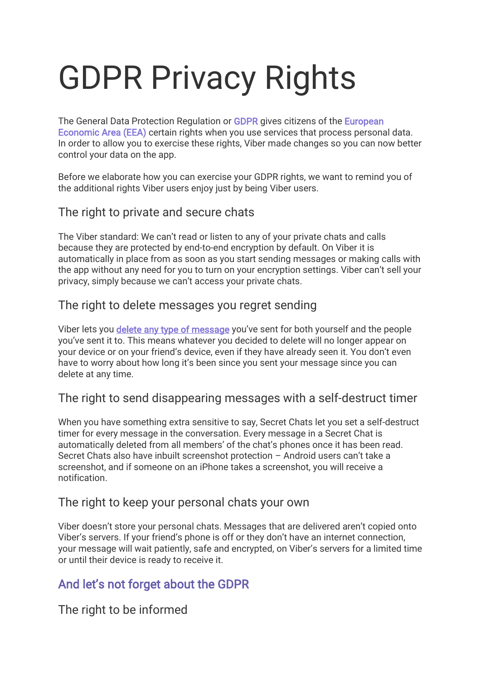# GDPR Privacy Rights

The General Data Protection Regulation or [GDPR](https://www.eugdpr.org/) gives citizens of the **European** [Economic Area \(EEA\)](https://en.wikipedia.org/wiki/European_Economic_Area) certain rights when you use services that process personal data. In order to allow you to exercise these rights, Viber made changes so you can now better control your data on the app.

Before we elaborate how you can exercise your GDPR rights, we want to remind you of the additional rights Viber users enjoy just by being Viber users.

# The right to private and secure chats

The Viber standard: We can't read or listen to any of your private chats and calls because they are protected by end-to-end encryption by default. On Viber it is automatically in place from as soon as you start sending messages or making calls with the app without any need for you to turn on your encryption settings. Viber can't sell your privacy, simply because we can't access your private chats.

# The right to delete messages you regret sending

Viber lets you [delete any type of message](https://www.viber.com/blog/2017-09-25/vibers-delete-messages-feature/) you've sent for both yourself and the people you've sent it to. This means whatever you decided to delete will no longer appear on your device or on your friend's device, even if they have already seen it. You don't even have to worry about how long it's been since you sent your message since you can delete at any time.

## The right to send disappearing messages with a self-destruct timer

When you have something extra sensitive to say, Secret Chats let you set a self-destruct timer for every message in the conversation. Every message in a Secret Chat is automatically deleted from all members' of the chat's phones once it has been read. Secret Chats also have inbuilt screenshot protection – Android users can't take a screenshot, and if someone on an iPhone takes a screenshot, you will receive a notification.

## The right to keep your personal chats your own

Viber doesn't store your personal chats. Messages that are delivered aren't copied onto Viber's servers. If your friend's phone is off or they don't have an internet connection, your message will wait patiently, safe and encrypted, on Viber's servers for a limited time or until their device is ready to receive it.

# And let's not forget about the GDPR

The right to be informed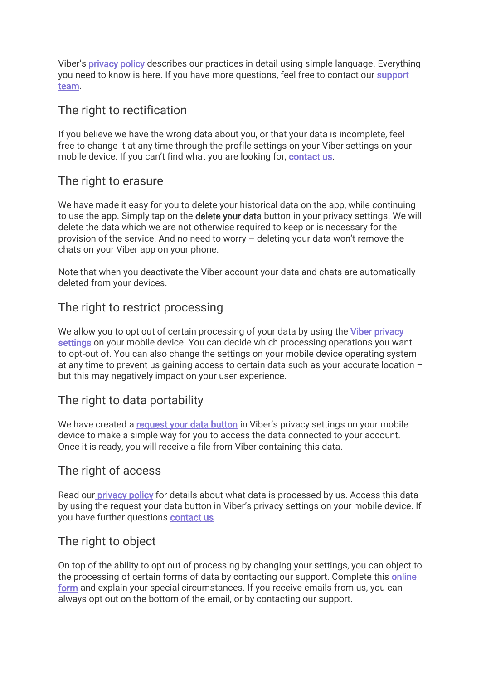Viber's **privacy policy** describes our practices in detail using simple language. Everything you need to know is here. If you have more questions, feel free to contact our support [team.](https://help.viber.com/en/contact)

#### The right to rectification

If you believe we have the wrong data about you, or that your data is incomplete, feel free to change it at any time through the profile settings on your Viber settings on your mobile device. If you can't find what you are looking for, [contact us.](https://help.viber.com/en/contact)

#### The right to erasure

We have made it easy for you to delete your historical data on the app, while continuing to use the app. Simply tap on the **delete your data** button in your privacy settings. We will delete the data which we are not otherwise required to keep or is necessary for the provision of the service. And no need to worry – deleting your data won't remove the chats on your Viber app on your phone.

Note that when you deactivate the Viber account your data and chats are automatically deleted from your devices.

# The right to restrict processing

We allow you to opt out of certain processing of your data by using the Viber privacy [settings](https://support.viber.com/customer/portal/articles/2933556) on your mobile device. You can decide which processing operations you want to opt-out of. You can also change the settings on your mobile device operating system at any time to prevent us gaining access to certain data such as your accurate location – but this may negatively impact on your user experience.

# The right to data portability

We have created a [request your data button](https://support.viber.com/customer/portal/articles/2931842) in Viber's privacy settings on your mobile device to make a simple way for you to access the data connected to your account. Once it is ready, you will receive a file from Viber containing this data.

## The right of access

Read ou[r privacy policy](https://www.viber.com/terms/viber-privacy-policy/) for details about what data is processed by us. Access this data by using the request your data button in Viber's privacy settings on your mobile device. If you have further questions [contact us.](https://support.viber.com/customer/portal/emails/new)

## The right to object

On top of the ability to opt out of processing by changing your settings, you can object to the processing of certain forms of data by contacting our support. Complete this online [form](https://support.viber.com/customer/portal/emails/new) and explain your special circumstances. If you receive emails from us, you can always opt out on the bottom of the email, or by contacting our support.